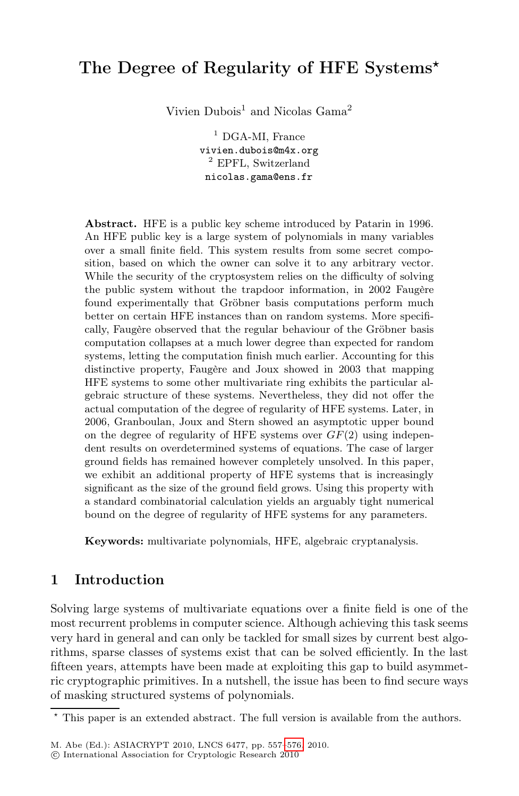# The Degree of Regularity of HFE Systems*-*

Vivien Dubois<sup>1</sup> and Nicolas Gama<sup>2</sup>

<sup>1</sup> DGA-MI, France vivien.dubois@m4x.org <sup>2</sup> EPFL, Switzerland nicolas.gama@ens.fr

Abstract. HFE is a public key scheme introduced by Patarin in 1996. An HFE public key is a large system of polynomials in many variables over a small finite field. This system results from some secret composition, based on which the owner can solve it to any arbitrary vector. While the security of the cryptosystem relies on the difficulty of solving the public system without the trapdoor information, in 2002 Faugère found experimentally that Gröbner basis computations perform much better on certain HFE instances than on random systems. More specifically, Faugère observed that the regular behaviour of the Gröbner basis computation collapses at a much lower degree than expected for random systems, letting the computation finish much earlier. Accounting for this distinctive property, Faugère and Joux showed in 2003 that mapping HFE systems to some other multivariate ring exhibits the particular algebraic structure of these systems. Nevertheless, they did not offer the actual computation of the degree of regularity of HFE systems. Later, in 2006, Granboulan, Joux and Stern showed an asymptotic upper bound on the degree of regularity of HFE systems over *GF*(2) using independent results on overdetermined systems of equations. The case of larger ground fields has remained however completely unsolved. In this paper, we exhibit an additional property of HFE systems that is increasingly significant as the size of the ground field grows. Using this property with a standard combinatorial calculation yields an arguably tight numerical bound on the degree of regularity of HFE systems for any parameters.

Keywords: multivariate polynomials, HFE, algebraic cryptanalysis.

# 1 Introduction

Solving large systems of multivariate equations over a finite field is one of the most recurrent problems in computer science. Although achieving this task seems very hard in general and [can](#page-19-0) [o](#page-19-0)nly be tackled for small sizes by current best algorithms, sparse classes of systems exist that can be solved efficiently. In the last fifteen years, attempts have been made at exploiting this gap to build asymmetric cryptographic primitives. In a nutshell, the issue has been to find secure ways of masking structured systems of polynomials.

<sup>\*</sup> This paper is an extended abstract. The full version is available from the authors.

M. Abe (Ed.): ASIACRYPT 2010, LNCS 6477, pp. 557–576, 2010.

<sup>-</sup>c International Association for Cryptologic Research 2010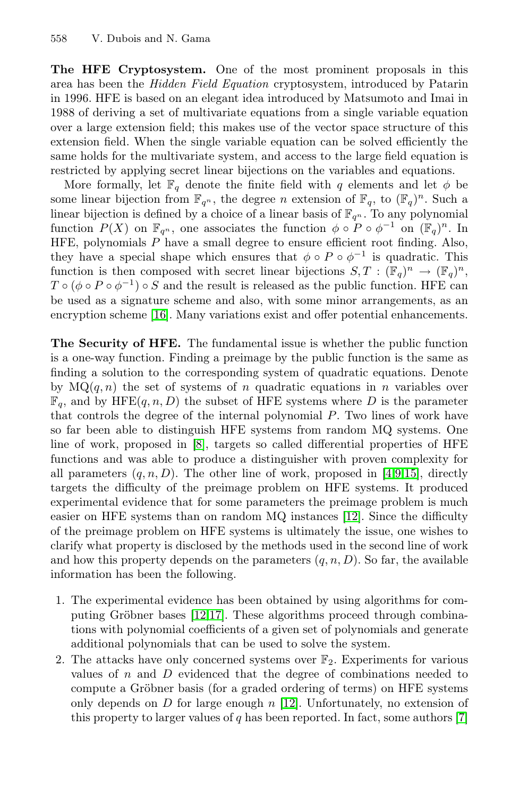The HFE Cryptosystem. One of the most prominent proposals in this area has been the *Hidden Field Equation* cryptosystem, introduced by Patarin in 1996. HFE is based on an elegant idea introduced by Matsumoto and Imai in 1988 of deriving a set of multivariate equations from a single variable equation over a large extension field; this makes use of the vector space structure of this extension field. When the single variable equation can be solved efficiently the same holds for the multivariate system, and access to the large field equation is restricted by applying secret linear bijections on the variables and equations.

More formally, let  $\mathbb{F}_q$  denote the finite field with q elements and let  $\phi$  be [som](#page-19-1)e linear bijection from  $\mathbb{F}_{q^n}$ , the degree *n* extension of  $\mathbb{F}_q$ , to  $(\mathbb{F}_q)^n$ . Such a linear bijection is defined by a choice of a linear basis of  $\mathbb{F}_{q^n}$ . To any polynomial function  $P(X)$  on  $\mathbb{F}_{q^n}$ , one associates the function  $\phi \circ P \circ \phi^{-1}$  on  $(\mathbb{F}_q)^n$ . In HFE, polynomials  $\overline{P}$  have a small degree to ensure efficient root finding. Also, they have a special shape which ensures that  $\phi \circ P \circ \phi^{-1}$  is quadratic. This function is then composed with secret linear bijections  $S, T : (\mathbb{F}_q)^n \to (\mathbb{F}_q)^n$ ,  $T \circ (\phi \circ P \circ \phi^{-1}) \circ S$  and the result is released as the public function. HFE can be used as a signature scheme and also, with some minor arrangements, as an encryption scheme [16]. Many variations exist and offer potential enhancements.

The Se[cu](#page-19-2)rity of HFE. The fundamental issue is whether the public function is a one-way function. Finding a preimage b[y](#page-19-3) [th](#page-19-4)[e p](#page-19-5)ublic function is the same as finding a solution to the corresponding system of quadratic equations. Denote by  $MQ(q, n)$  the set of systems of n quadratic equations in n variables over  $\mathbb{F}_q$ , and by HFE(q, n, D) the subset [of H](#page-19-6)FE systems where D is the parameter that controls the degree of the internal polynomial P. Two lines of work have so far been able to distinguish HFE systems from random MQ systems. One line of work, proposed in [8], targets so called differential properties of HFE functions and was able to produce a distinguisher with proven complexity for all parameters  $(q, n, D)$ . The other line of work, proposed in [4,9,15], directly targets the difficulty of the preimage problem on HFE systems. It produced experim[ent](#page-19-6)[al e](#page-19-7)vidence that for some parameters the preimage problem is much easier on HFE systems than on random MQ instances [12]. Since the difficulty of the preimage problem on HFE systems is ultimately the issue, one wishes to clarify what property is disclosed by the methods used in the second line of work and how this property depends on the parameters  $(q, n, D)$ . So far, the available information has been the following.

- 1. The experimental evi[den](#page-19-6)ce has been obtained by usin[g a](#page-19-8)lgorithms for computing Gröbner bases [12,17]. These algorithms proceed through combinations with polynomial coefficients of a given set of polynomials and generate additional polynomials that can be used to solve the system.
- 2. The attacks have only concerned systems over  $\mathbb{F}_2$ . Experiments for various values of  $n$  and  $D$  evidenced that the degree of combinations needed to compute a Gröbner basis (for a graded ordering of terms) on HFE systems only depends on  $D$  for large enough  $n$  [12]. Unfortunately, no extension of this property to larger values of  $q$  has been reported. In fact, some authors [7]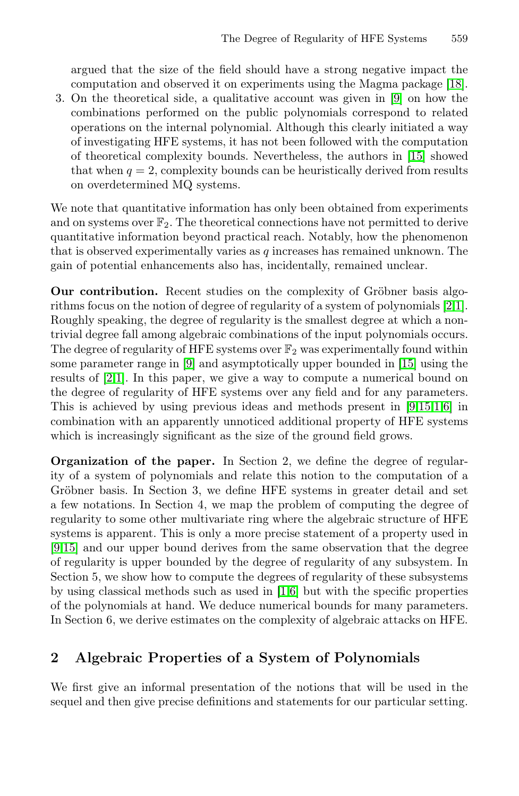argued that the size of the field should have a strong negative impact the computation and observed it on experiments using the Magma package [18].

3. On the theoretical side, a qualitative account was given in [9] on how the combinations performed on the public polynomials correspond to related operations on the internal polynomial. Although this clearly initiated a way of investigating HFE systems, it has not been followed with the computation of theoretical complexity bounds. Nevertheless, the authors in [15] showed that when  $q = 2$ , complexity bounds can be heuristically derived from results on overdetermined MQ systems.

We note that quantitative information has only been obtained from experiments and on systems over  $\mathbb{F}_2$ . The theoretical connections have not permitted to derive quantitative information beyond practical reach. Notably, how the phenomenon that is [ob](#page-19-4)served experimentally varies as  $q$  incre[ases](#page-19-5) has remained unknown. The gain of potential enhancements also has, incidentally, remained unclear.

Our contribution. Recent studies on the co[mpl](#page-19-4)[exi](#page-19-5)[ty](#page-18-0) [o](#page-19-9)f Gröbner basis algorithms focus on the notion of degree of regularity of a system of polynomials [2,1]. Roughly speaking, the degree of regularity is the smallest degree at which a nontrivial degree fall among algebraic combinations of the input polynomials occurs. The degree of regularity of HFE systems over  $\mathbb{F}_2$  was experimentally found within some parameter range in [9] and asymptotically upper bounded in [15] using the results of [2,1]. In this paper, we give a way to compute a numerical bound on the degree of regularity of HFE systems over any field and for any parameters. This is achieved by using previous ideas and methods present in [9,15,1,6] in combination with an apparently unnoticed additional property of HFE systems which is increasingly significant as the size of the ground field grows.

Organization of the paper. In Section 2, we define the degree of regularity of a system of poly[no](#page-18-0)[mi](#page-19-9)als and relate this notion to the computation of a Gröbner basis. In Section 3, we define HFE systems in greater detail and set a few notations. In Section 4, we map the problem of computing the degree of regularity to some other multivariate ring where the algebraic structure of HFE systems is apparent. This is only a more precise statement of a property used in [9,15] and our upper bound derives from the same observation that the degree of regularity is upper bounded by the degree of regularity of any subsystem. In Section 5, we show how to compute the degrees of regularity of these subsystems by using classical methods such as used in [1,6] but with the specific properties of the polynomials at hand. We deduce numerical bounds for many parameters. In Section 6, we derive estimates on the complexity of algebraic attacks on HFE.

# 2 Algebraic Properties of a System of Polynomials

We first give an informal presentation of the notions that will be used in the sequel and then give precise definitions and statements for our particular setting.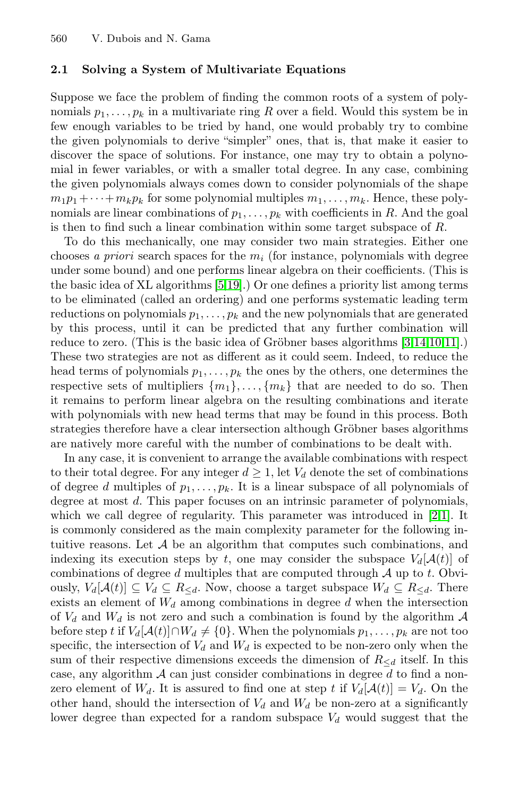## 2.1 Solving a System of Multivariate Equations

Suppose we face the problem of finding the common roots of a system of polynomials  $p_1, \ldots, p_k$  in a multivariate ring R over a field. Would this system be in few enough variables to be tried by hand, one would probably try to combine the given polynomials to derive "simpler" ones, that is, that make it easier to discover the space of solutions. For instance, one may try to obtain a polynomial in fewe[r](#page-19-10) [var](#page-19-11)iables, or with a smaller total degree. In any case, combining the given polynomials always comes down to consider polynomials of the shape  $m_1p_1 + \cdots + m_kp_k$  for some polynomial multiples  $m_1, \ldots, m_k$ . Hence, these polynomials are linear combinations of  $p_1, \ldots, p_k$  with coefficients in R. And the goal is then to find [s](#page-18-1)uch a linear c[om](#page-19-12)bination within som[e t](#page-19-13)[arge](#page-19-14)t subspace of  $R$ .

To do this mechanically, one may consider two main strategies. Either one chooses *a priori* search spaces for the  $m_i$  (for instance, polynomials with degree under some bound) and one performs linear algebra on their coefficients. (This is the basic idea of XL algorithms [5,19].) Or one defines a priority list among terms to be eliminated (called an ordering) and one performs systematic leading term reductions on polynomials  $p_1, \ldots, p_k$  and the new polynomials that are generated by this process, until it can be predicted that any further combination will reduce to zero. (This is the basic idea of Gröbner bases algorithms [3,14,10,11].) These two strategies are not as different as it could seem. Indeed, to reduce the head terms of polynomials  $p_1, \ldots, p_k$  the ones by the others, one determines the respective sets of multipliers  $\{m_1\},\ldots,\{m_k\}$  that are needed to do so. Then it remains to perform linear algebra on the resulting [c](#page-18-2)[om](#page-18-0)binations and iterate with polynomials with new head terms that may be found in this process. Both strategies therefore have a clear intersection although Gröbner bases algorithms are natively more careful with the number of combinations to be dealt with.

In any case, it is convenient to arrange the available combinations with respect to their total degree. For any integer  $d \geq 1$ , let  $V_d$  denote the set of combinations of degree d multiples of  $p_1, \ldots, p_k$ . It is a linear subspace of all polynomials of degree at most d. This paper focuses on an intrinsic parameter of polynomials, which we call degree of regularity. This parameter was introduced in [2,1]. It is commonly considered as the main complexity parameter for the following intuitive reasons. Let  $A$  be an algorithm that computes such combinations, and indexing its execution steps by t, one may consider the subspace  $V_d[\mathcal{A}(t)]$  of combinations of degree  $d$  multiples that are computed through  $A$  up to  $t$ . Obviously,  $V_d[\mathcal{A}(t)] \subseteq V_d \subseteq R_{\leq d}$ . Now, choose a target subspace  $W_d \subseteq R_{\leq d}$ . There exists an element of  $W_d$  among combinations in degree d when the intersection of  $V_d$  and  $W_d$  is not zero and such a combination is found by the algorithm A before step t if  $V_d[A(t)] \cap W_d \neq \{0\}$ . When the polynomials  $p_1, \ldots, p_k$  are not too specific, the intersection of  $V_d$  and  $W_d$  is expected to be non-zero only when the sum of their respective dimensions exceeds the dimension of  $R_{\le d}$  itself. In this case, any algorithm  $A$  can just consider combinations in degree  $d$  to find a nonzero element of  $W_d$ . It is assured to find one at step t if  $V_d[A(t)] = V_d$ . On the other hand, should the intersection of  $V_d$  and  $W_d$  be non-zero at a significantly lower degree than expected for a random subspace  $V_d$  would suggest that the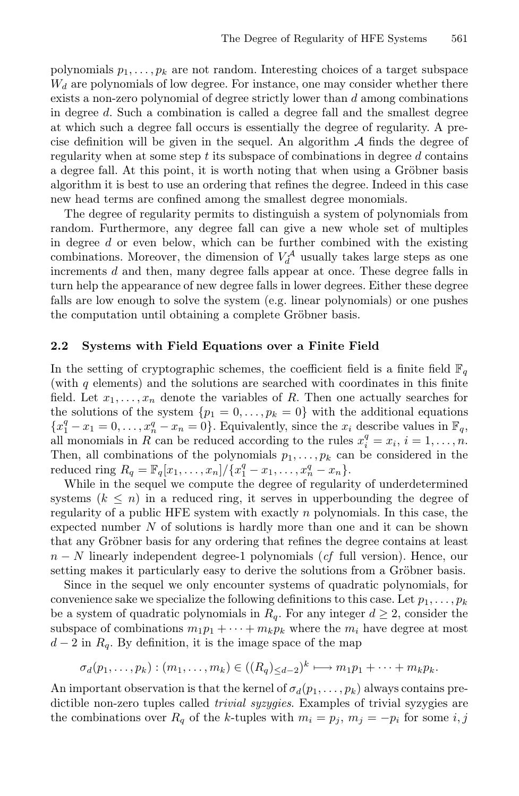polynomials  $p_1, \ldots, p_k$  are not random. Interesting choices of a target subspace  $W_d$  are polynomials of low degree. For instance, one may consider whether there exists a non-zero polynomial of degree strictly lower than d among combinations in degree d. Such a combination is called a degree fall and the smallest degree at which such a degree fall occurs is essentially the degree of regularity. A precise definition will be given in the sequel. An algorithm  $A$  finds the degree of regularity when at some step  $t$  its subspace of combinations in degree  $d$  contains a degree fall. At this point, it is worth noting that when using a Gröbner basis algorithm it is best to use an ordering that refines the degree. Indeed in this case new head terms are confined among the smallest degree monomials.

The degree of regularity permits to distinguish a system of polynomials from random. Furthermore, any degree fall can give a new whole set of multiples in degree  $d$  or even below, which can be further combined with the existing combinations. Moreover, the dimension of  $V_d^{\mathcal{A}}$  usually takes large steps as one increments d and then, many degree falls appear at once. These degree falls in turn help the appearance of new degree falls in lower degrees. Either these degree falls are low enough to solve the system (e.g. linear polynomials) or one pushes the computation until obtaining a complete Gröbner basis.

#### 2.2 Systems with Field Equations over a Finite Field

In the setting of cryptographic schemes, the coefficient field is a finite field  $\mathbb{F}_q$ (with  $q$  elements) and the solutions are searched with coordinates in this finite field. Let  $x_1, \ldots, x_n$  denote the variables of R. Then one actually searches for the solutions of the system  $\{p_1 = 0, \ldots, p_k = 0\}$  with the additional equations  ${x_1^q - x_1 = 0, \ldots, x_n^q - x_n = 0}$ . Equivalently, since the  $x_i$  describe values in  $\mathbb{F}_q$ , all monomials in R can be reduced according to the rules  $x_i^q = x_i$ ,  $i = 1, \ldots, n$ . Then, all combinations of the polynomials  $p_1, \ldots, p_k$  can be considered in the reduced ring  $R_q = \mathbb{F}_q[x_1, \ldots, x_n] / \{x_1^q - x_1, \ldots, x_n^q - x_n\}.$ 

While in the sequel we compute the degree of regularity of underdetermined systems  $(k \leq n)$  in a reduced ring, it serves in upperbounding the degree of regularity of a public HFE system with exactly  $n$  polynomials. In this case, the expected number  $N$  of solutions is hardly more than one and it can be shown that any Gröbner basis for any ordering that refines the degree contains at least n − N linearly independent degree-1 polynomials (*cf* full version). Hence, our setting makes it particularly easy to derive the solutions from a Gröbner basis.

Since in the sequel we only encounter systems of quadratic polynomials, for convenience sake we specialize the following definitions to this case. Let  $p_1, \ldots, p_k$ be a system of quadratic polynomials in  $R_q$ . For any integer  $d \geq 2$ , consider the subspace of combinations  $m_1p_1 + \cdots + m_kp_k$  where the  $m_i$  have degree at most  $d-2$  in  $R_q$ . By definition, it is the image space of the map

$$
\sigma_d(p_1,\ldots,p_k):(m_1,\ldots,m_k)\in ((R_q)_{\leq d-2})^k\longmapsto m_1p_1+\cdots+m_kp_k.
$$

An important observation is that the kernel of  $\sigma_d(p_1,\ldots,p_k)$  always contains predictible non-zero tuples called *trivial syzygies*. Examples of trivial syzygies are the combinations over  $R_q$  of the k-tuples with  $m_i = p_j$ ,  $m_j = -p_i$  for some i,j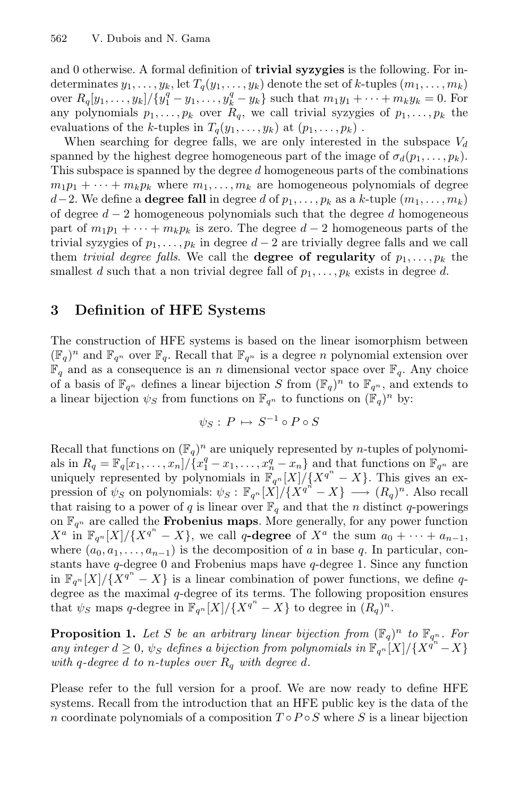and 0 otherwise. A formal definition of **trivial syzygies** is the following. For indeterminates  $y_1, \ldots, y_k$ , let  $T_q(y_1, \ldots, y_k)$  denote the set of k-tuples  $(m_1, \ldots, m_k)$ over  $R_q[y_1, \ldots, y_k]/\{y_1^q - y_1, \ldots, y_k^q - y_k\}$  such that  $m_1y_1 + \cdots + m_ky_k = 0$ . For any polynomials  $p_1, \ldots, p_k$  over  $R_q$ , we call trivial syzygies of  $p_1, \ldots, p_k$  the evaluations of the k-tuples in  $T_q(y_1,\ldots,y_k)$  at  $(p_1,\ldots,p_k)$ .

When searching for degree falls, we are only interested in the subspace  $V_d$ spanned by the highest degree homogeneous part of the image of  $\sigma_d(p_1,\ldots,p_k)$ . This subspace is spanned by the degree d homogeneous parts of the combinations  $m_1p_1 + \cdots + m_kp_k$  where  $m_1,\ldots,m_k$  are homogeneous polynomials of degree d−2. We define a **degree fall** in degree d of  $p_1, \ldots, p_k$  as a k-tuple  $(m_1, \ldots, m_k)$ of degree  $d-2$  homogeneous polynomials such that the degree d homogeneous part of  $m_1p_1 + \cdots + m_kp_k$  is zero. The degree  $d-2$  homogeneous parts of the trivial syzygies of  $p_1, \ldots, p_k$  in degree  $d-2$  are trivially degree falls and we call them *trivial degree falls*. We call the **degree of regularity** of  $p_1, \ldots, p_k$  the smallest d such that a non trivial degree fall of  $p_1, \ldots, p_k$  exists in degree d.

# 3 Definition of HFE Systems

The construction of HFE systems is based on the linear isomorphism between  $(\mathbb{F}_q)^n$  and  $\mathbb{F}_{q^n}$  over  $\mathbb{F}_q$ . Recall that  $\mathbb{F}_{q^n}$  is a degree n polynomial extension over  $\mathbb{F}_q$  and as a consequence is an n dimensional vector space over  $\mathbb{F}_q$ . Any choice of a basis of  $\mathbb{F}_{q^n}$  defines a linear bijection S from  $(\mathbb{F}_q)^n$  to  $\mathbb{F}_{q^n}$ , and extends to a linear bijection  $\psi_S$  from functions on  $\mathbb{F}_{q^n}$  to functions on  $(\mathbb{F}_q)^n$  by:

$$
\psi_S: P \mapsto S^{-1} \circ P \circ S
$$

Recall that functions on  $(\mathbb{F}_q)^n$  are uniquely represented by *n*-tuples of polynomials in  $R_q = \mathbb{F}_q[x_1,\ldots,x_n]/\{x_1^q - x_1,\ldots,x_n^q - x_n\}$  and that functions on  $\mathbb{F}_{q^n}$  are uniquely represented by polynomials in  $\mathbb{F}_{q^n}[X]/\{X^{q^n}-X\}$ . This gives an expression of  $\psi_S$  on polynomials:  $\psi_S : \mathbb{F}_{q^n}[X]/\{X^{q^n} - X\} \longrightarrow (R_q)^n$ . Also recall that raising to a power of q is linear over  $\mathbb{F}_q$  and that the n distinct q-powerings on  $\mathbb{F}_{q^n}$  are called the **Frobenius maps**. More generally, for any power function  $X^a$  in  $\mathbb{F}_{q^n}[X]/\{X^{q^n}-X\}$ , we call q-degree of  $X^a$  the sum  $a_0 + \cdots + a_{n-1}$ , where  $(a_0, a_1, \ldots, a_{n-1})$  is the decomposition of a in base q. In particular, constants have  $q$ -degree 0 and Frobenius maps have  $q$ -degree 1. Since any function in  $\mathbb{F}_{q^n}[X]/\{\overline{X^{q^n}-X}\}\$ is a linear combination of power functions, we define qdegree as the maximal q-degree of its terms. The following proposition ensures that  $\psi_S$  maps q-degree in  $\mathbb{F}_{q^n}[X]/\{X^{q^n}-X\}$  to degree in  $(R_q)^n$ .

**Proposition 1.** Let S be an arbitrary linear bijection from  $(\mathbb{F}_q)^n$  to  $\mathbb{F}_{q^n}$ . For *any integer*  $d \geq 0$ ,  $\psi_S$  *defines a bijection from polynomials in*  $\mathbb{F}_{q^n}[X]/\{X^{q^n} - X\}$ *with*  $q$ -degree  $d$  to  $n$ -tuples over  $R_q$  with degree  $d$ .

Please refer to the full version for a proof. We are now ready to define HFE systems. Recall from the introduction that an HFE public key is the data of the n coordinate polynomials of a composition  $T \circ P \circ S$  where S is a linear bijection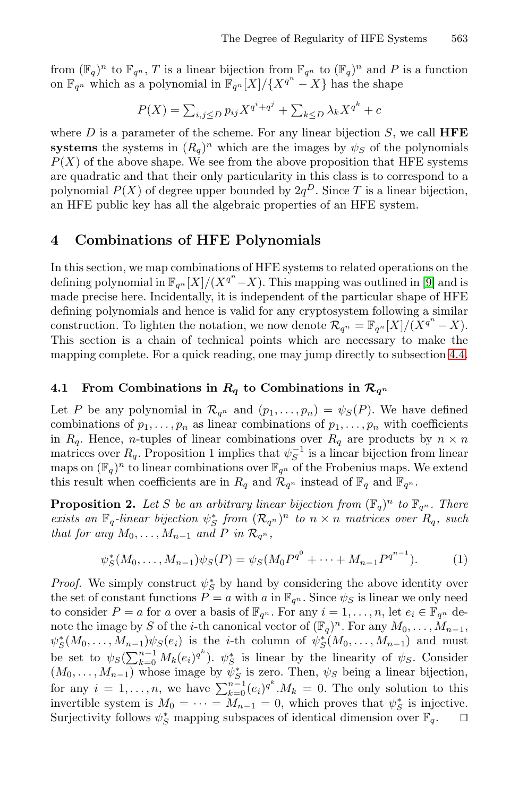from  $(\mathbb{F}_q)^n$  to  $\mathbb{F}_{q^n}$ , T is a linear bijection from  $\mathbb{F}_{q^n}$  to  $(\mathbb{F}_q)^n$  and P is a function on  $\mathbb{F}_{q^n}$  which as a polynomial in  $\mathbb{F}_{q^n}[X]/\{X^{q^n}-X\}$  has the shape

$$
P(X) = \sum_{i,j \le D} p_{ij} X^{q^i + q^j} + \sum_{k \le D} \lambda_k X^{q^k} + c
$$

where  $D$  is a parameter of the scheme. For any linear bijection  $S$ , we call **HFE** systems the systems in  $(R_q)^n$  which are the images by  $\psi_S$  of the polynomials  $P(X)$  of the above shape. We see from the above proposition that HFE systems are quadratic and that their only particularity in thi[s](#page-19-4) [c](#page-19-4)lass is to correspond to a polynomial  $P(X)$  of degree upper bounded by  $2q^D$ . Since T is a linear bijection, an HFE public key has all the algebraic properties of an HFE system.

# 4 Combinations of HFE Polynomials

In this section, we map combinations of HFE systems to related operations on the defining polynomial in  $\mathbb{F}_{q^n}[X]/(X^{q^n}-X)$ . This mapping was outlined in [9] and is made precise here. Incidentally, it is independent of the particular shape of HFE defining polynomials and hence is valid for any cryptosystem following a similar construction. To lighten the notation, we now denote  $\mathcal{R}_{q^n} = \mathbb{F}_{q^n}[X]/(X^{q^n} - X)$ . This section is a chain of technical points which are necessary to make the mapping complete. For a quick reading, one may jump directly to subsection 4.4.

## 4.1 From Combinations in  $R_q$  to Combinations in  $\mathcal{R}_{q^n}$

Let P be any polynomial in  $\mathcal{R}_{q^n}$  and  $(p_1,\ldots,p_n) = \psi_S(P)$ . We have defined combinations of  $p_1, \ldots, p_n$  as linear combinations of  $p_1, \ldots, p_n$  with coefficients in  $R_q$ . Hence, *n*-tuples of linear combinations over  $R_q$  are products by  $n \times n$ matrices over  $R_q$ . Proposition 1 implies that  $\psi_S^{-1}$  is a linear bijection from linear maps on  $(\mathbb{F}_q)^n$  to linear combinations over  $\mathbb{F}_{q^n}$  of the Frobenius maps. We extend this result when coefficients are in  $R_q$  and  $\mathcal{R}_{q^n}$  instead of  $\mathbb{F}_q$  and  $\mathbb{F}_{q^n}$ .

**Proposition 2.** Let S be an arbitrary linear bijection from  $(\mathbb{F}_q)^n$  to  $\mathbb{F}_{q^n}$ . There *exists an*  $\mathbb{F}_q$ -linear bijection  $\psi_S^*$  from  $(\mathcal{R}_{q^n})^n$  to  $n \times n$  matrices over  $R_q$ , such *that for any*  $M_0, \ldots, M_{n-1}$  *and*  $P$  *in*  $\mathcal{R}_{q^n}$ *,* 

$$
\psi_S^*(M_0, \dots, M_{n-1})\psi_S(P) = \psi_S(M_0P^{q^0} + \dots + M_{n-1}P^{q^{n-1}}).
$$
 (1)

*Proof.* We simply construct  $\psi_S^*$  by hand by considering the above identity over the set of constant functions  $P = a$  with a in  $\mathbb{F}_{q^n}$ . Since  $\psi_S$  is linear we only need to consider  $P = a$  for a over a basis of  $\mathbb{F}_{q^n}$ . For any  $i = 1, \ldots, n$ , let  $e_i \in \mathbb{F}_{q^n}$  denote the image by S of the *i*-th canonical vector of  $(\mathbb{F}_q)^n$ . For any  $M_0, \ldots, M_{n-1}$ ,  $\psi_S^*(M_0,\ldots,M_{n-1})\psi_S(e_i)$  is the *i*-th column of  $\psi_S^*(M_0,\ldots,M_{n-1})$  and must be set to  $\psi_S(\sum_{k=0}^{n-1} M_k(e_i)^{q^k})$ .  $\psi_S^*$  is linear by the linearity of  $\psi_S$ . Consider  $(M_0, \ldots, M_{n-1})$  whose image by  $\psi_S^*$  is zero. Then,  $\psi_S$  being a linear bijection, for any  $i = 1, ..., n$ , we have  $\sum_{k=0}^{n-1} (e_i)^{q^k} M_k = 0$ . The only solution to this invertible system is  $M_0 = \cdots = M_{n-1} = 0$ , which proves that  $\psi_S^*$  is injective. Surjectivity follows  $\psi_S^*$  mapping subspaces of identical dimension over  $\mathbb{F}_q$ .  $\Box$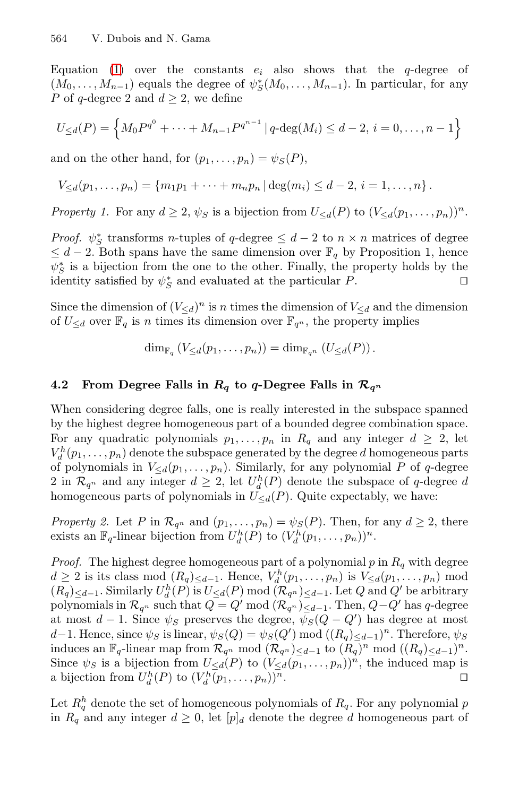Equation (1) over the constants  $e_i$  also shows that the q-degree of  $(M_0, \ldots, M_{n-1})$  equals the degree of  $\psi_s^*(M_0, \ldots, M_{n-1})$ . In particular, for any P of q-degree 2 and  $d \geq 2$ , we define

$$
U_{\leq d}(P) = \left\{ M_0 P^{q^0} + \dots + M_{n-1} P^{q^{n-1}} \mid q \text{-deg}(M_i) \leq d-2, \, i = 0, \dots, n-1 \right\}
$$

and on the other hand, for  $(p_1, \ldots, p_n) = \psi_S(P)$ ,

$$
V_{\leq d}(p_1,\ldots,p_n)=\{m_1p_1+\cdots+m_np_n\,|\,\deg(m_i)\leq d-2,\,i=1,\ldots,n\}\,.
$$

*Property 1.* For any  $d \geq 2$ ,  $\psi_S$  is a bijection from  $U_{\leq d}(P)$  to  $(V_{\leq d}(p_1, \ldots, p_n))^n$ .

*Proof.*  $\psi_{S}^{*}$  transforms *n*-tuples of q-degree  $\leq d-2$  to  $n \times n$  matrices of degree  $\leq d-2$ . Both spans have the same dimension over  $\mathbb{F}_q$  by Proposition 1, hence  $\psi_S^*$  is a bijection from the one to the other. Finally, the property holds by the identity satisfied by  $\psi_S^*$  and evaluated at the particular P.

Since the dimension of  $(V_{\le d})^n$  is n times the dimension of  $V_{\le d}$  and the dimension of  $U_{\le d}$  over  $\mathbb{F}_q$  is n times its dimension over  $\mathbb{F}_{q^n}$ , the property implies

$$
\dim_{\mathbb{F}_q} (V_{\leq d}(p_1,\ldots,p_n)) = \dim_{\mathbb{F}_{q^n}} (U_{\leq d}(P)).
$$

# 4.2 From Degree Falls in  $R_q$  to q-Degree Falls in  $\mathcal{R}_{q^n}$

When considering degree falls, one is really interested in the subspace spanned by the highest degree homogeneous part of a bounded degree combination space. For any quadratic polynomials  $p_1, \ldots, p_n$  in  $R_q$  and any integer  $d \geq 2$ , let  $V_d^h(p_1,\ldots,p_n)$  denote the subspace generated by the degree d homogeneous parts of polynomials in  $V_{\leq d}(p_1,\ldots,p_n)$ . Similarly, for any polynomial P of q-degree 2 in  $\mathcal{R}_{q^n}$  and any integer  $d \geq 2$ , let  $U_d^h(P)$  denote the subspace of q-degree d homogeneous parts of polynomials in  $U_{\leq d}(P)$ . Quite expectably, we have:

*Property 2.* Let P in  $\mathcal{R}_{q^n}$  and  $(p_1,\ldots,p_n) = \psi_S(P)$ . Then, for any  $d \geq 2$ , there exists an  $\mathbb{F}_q$ -linear bijection from  $U_d^h(P)$  to  $(V_d^h(p_1,\ldots,p_n))^n$ .

*Proof.* The highest degree homogeneous part of a polynomial  $p$  in  $R_q$  with degree  $d \geq 2$  is its class mod  $(R_q)_{\leq d-1}$ . Hence,  $V_d^h(p_1,\ldots,p_n)$  is  $V_{\leq d}(p_1,\ldots,p_n)$  mod  $(R_q)_{\leq d-1}$ . Similarly  $U_d^h(P)$  is  $U_{\leq d}(P)$  mod  $(\mathcal{R}_{q^n})_{\leq d-1}$ . Let Q and Q' be arbitrary polynomials in  $\mathcal{R}_{q^n}$  such that  $Q = Q' \mod (\mathcal{R}_{q^n})_{\leq d-1}$ . Then,  $Q-Q'$  has q-degree at most  $d-1$ . Since  $\psi_S$  preserves the degree,  $\psi_S(Q-Q')$  has degree at most d−1. Hence, since  $\psi_S$  is linear,  $\psi_S(Q) = \psi_S(Q') \mod ((R_q)_{\leq d-1})^n$ . Therefore,  $\psi_S$ induces an  $\mathbb{F}_q$ -linear map from  $\mathcal{R}_{q^n}$  mod  $(\mathcal{R}_{q^n})_{\leq d-1}$  to  $(R_q)^n$  mod  $((R_q)_{\leq d-1})^n$ . Since  $\psi_S$  is a bijection from  $U_{\leq d}(P)$  to  $(V_{\leq d}(p_1,\ldots,p_n))^n$ , the induced map is a bijection from  $U_d^h(P)$  to  $(V_d^h(p_1,\ldots,p_n))^n$ .

Let  $R_q^h$  denote the set of homogeneous polynomials of  $R_q$ . For any polynomial p in  $R_q$  and any integer  $d \geq 0$ , let  $[p]_d$  denote the degree d homogeneous part of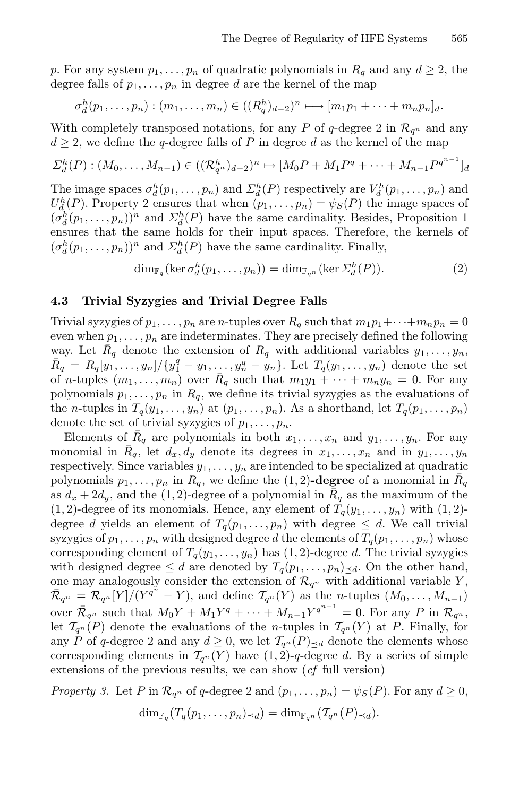p. For any system  $p_1, \ldots, p_n$  of quadratic polynomials in  $R_q$  and any  $d \geq 2$ , the degree falls of  $p_1, \ldots, p_n$  in degree d are the kernel of the map

$$
\sigma_d^h(p_1,\ldots,p_n) : (m_1,\ldots,m_n) \in ((R_q^h)_{d-2})^n \longmapsto [m_1p_1+\cdots+m_np_n]_d.
$$

With completely transposed notations, for any P of  $q$ -degree 2 in  $\mathcal{R}_{q^n}$  and any  $d \geq 2$ , we define the q-degree falls of P in degree d as the kernel of the map

$$
\Sigma_d^h(P) : (M_0, \dots, M_{n-1}) \in ((\mathcal{R}_{q^n}^h)_{d-2})^n \mapsto [M_0P + M_1P^q + \dots + M_{n-1}P^{q^{n-1}}]_d
$$

The image spaces  $\sigma_d^h(p_1,\ldots,p_n)$  and  $\Sigma_d^h(P)$  respectively are  $V_d^h(p_1,\ldots,p_n)$  and  $U_d^h(P)$ . Property 2 ensures that when  $(p_1, \ldots, p_n) = \psi_S(P)$  the image spaces of  $(\sigma_d^h(p_1,\ldots,p_n))^n$  and  $\Sigma_d^h(P)$  have the same cardinality. Besides, Proposition 1 ensures that the same holds for their input spaces. Therefore, the kernels of  $(\sigma_d^h(p_1,\ldots,p_n))^n$  and  $\Sigma_d^h(P)$  have the same cardinality. Finally,

 $\dim_{\mathbb{F}_q} (\ker \sigma_d^h(p_1,\ldots,p_n)) = \dim_{\mathbb{F}_{q^n}} (\ker \Sigma_d^h(P)).$  (2)

## 4.3 Trivial Syzygies and Trivial Degree Falls

Trivial syzygies of  $p_1, \ldots, p_n$  are *n*-tuples over  $R_q$  such that  $m_1p_1+\cdots+m_np_n=0$ even when  $p_1, \ldots, p_n$  are indeterminates. They are precisely defined the following way. Let  $\overline{R}_q$  denote the extension of  $R_q$  with additional variables  $y_1, \ldots, y_n$ ,  $\bar{R}_q = R_q[y_1, \ldots, y_n]/\{y_1^q - y_1, \ldots, y_n^q - y_n\}.$  Let  $T_q(y_1, \ldots, y_n)$  denote the set of *n*-tuples  $(m_1,...,m_n)$  over  $\overline{R}_q$  such that  $m_1y_1 + \cdots + m_ny_n = 0$ . For any polynomials  $p_1, \ldots, p_n$  in  $R_q$ , we define its trivial syzygies as the evaluations of the *n*-tuples in  $T_q(y_1,\ldots,y_n)$  at  $(p_1,\ldots,p_n)$ . As a shorthand, let  $T_q(p_1,\ldots,p_n)$ denote the set of trivial syzygies of  $p_1, \ldots, p_n$ .

Elements of  $R_q$  are polynomials in both  $x_1,\ldots,x_n$  and  $y_1,\ldots,y_n$ . For any monomial in  $R_q$ , let  $d_x, d_y$  denote its degrees in  $x_1, \ldots, x_n$  and in  $y_1, \ldots, y_n$ respectively. Since variables  $y_1, \ldots, y_n$  are intended to be specialized at quadratic polynomials  $p_1, \ldots, p_n$  in  $R_q$ , we define the  $(1, 2)$ -degree of a monomial in  $R_q$ as  $d_x + 2d_y$ , and the (1,2)-degree of a polynomial in  $\overline{R}_q$  as the maximum of the  $(1, 2)$ -degree of its monomials. Hence, any element of  $T_q(y_1, \ldots, y_n)$  with  $(1, 2)$ degree d yields an element of  $T_q(p_1,\ldots,p_n)$  with degree  $\leq d$ . We call trivial syzygies of  $p_1, \ldots, p_n$  with designed degree d the elements of  $T_q(p_1, \ldots, p_n)$  whose corresponding element of  $T_q(y_1,\ldots,y_n)$  has  $(1, 2)$ -degree d. The trivial syzygies with designed degree  $\leq d$  are denoted by  $T_q(p_1,\ldots,p_n)_{\leq d}$ . On the other hand, one may analogously consider the extension of  $\mathcal{R}_{q^n}$  with additional variable Y,  $\bar{\mathcal{R}}_{q^n} = \bar{\mathcal{R}}_{q^n}[Y]/(Y^{q^n}-Y)$ , and define  $\mathcal{T}_{q^n}(Y)$  as the *n*-tuples  $(M_0,\ldots,M_{n-1})$ over  $\bar{\mathcal{R}}_{q^n}$  such that  $M_0Y + M_1Y^q + \cdots + M_{n-1}Y^{q^{n-1}} = 0$ . For any P in  $\mathcal{R}_{q^n}$ , let  $\mathcal{T}_{q^n}(P)$  denote the evaluations of the *n*-tuples in  $\mathcal{T}_{q^n}(Y)$  at *P*. Finally, for any P of q-degree 2 and any  $d \geq 0$ , we let  $\mathcal{T}_{q^n}(P)_{\leq d}$  denote the elements whose corresponding elements in  $\mathcal{T}_{q^n}(Y)$  have  $(1, 2)$ -q-degree d. By a series of simple extensions of the previous results, we can show (*cf* full version)

*Property 3.* Let P in  $\mathcal{R}_{q^n}$  of q-degree 2 and  $(p_1,\ldots,p_n) = \psi_S(P)$ . For any  $d \geq 0$ ,  $\dim_{\mathbb{F}_q}(T_q(p_1,\ldots,p_n)_{\preceq d}) = \dim_{\mathbb{F}_{q^n}}(T_{q^n}(P)_{\preceq d}).$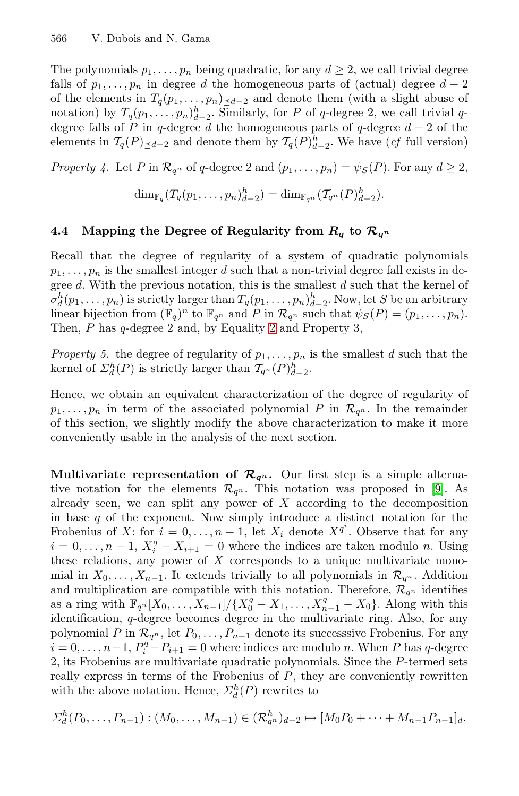The polynomials  $p_1, \ldots, p_n$  being quadratic, for any  $d \geq 2$ , we call trivial degree falls of  $p_1, \ldots, p_n$  in degree d the homogeneous parts of (actual) degree  $d-2$ of the elements in  $T_q(p_1,\ldots,p_n)_{\leq d-2}$  and denote them (with a slight abuse of notation) by  $T_q(p_1,\ldots,p_n)_{d-2}^h$ . Similarly, for P of q-degree 2, we call trivial qdegree falls of P in q-degree d the homogeneous parts of q-degree  $d-2$  of the elements in  $\mathcal{T}_q(P)_{\leq d-2}$  and denote them by  $\mathcal{T}_q(P)_{d-2}^h$ . We have (*cf* full version)

*Property 4.* Let P in  $\mathcal{R}_{q^n}$  of q-degree 2 and  $(p_1, \ldots, p_n) = \psi_S(P)$ . For any  $d \geq 2$ ,

 $\dim_{\mathbb{F}_q}(T_q(p_1,\ldots,p_n)_{d-2}^h)=\dim_{\mathbb{F}_{q^n}}(T_{q^n}(P)_{d-2}^h).$ 

## 4.4 Mapping the Degree of Regularity from  $R_q$  to  $\mathcal{R}_{q^n}$

Recall that the degree of regularity of a system of quadratic polynomials  $p_1,\ldots,p_n$  is the smallest integer d such that a non-trivial degree fall exists in degree d. With the previous notation, this is the smallest d such that the kernel of  $\sigma_n^h(p_1,\ldots,p_n)$  is strictly larger than  $T_q(p_1,\ldots,p_n)_{d-2}^h$ . Now, let S be an arbitrary linear bijection from  $(\mathbb{F}_q)^n$  to  $\mathbb{F}_{q^n}$  and P in  $\mathcal{R}_{q^n}$  such that  $\psi_S(P)=(p_1,\ldots,p_n)$ . Then, P has q-degree 2 and, by Equality 2 and Property 3,

*Property 5.* the degree of regularity of  $p_1, \ldots, p_n$  is the smallest d such that the kernel of  $\mathcal{L}_d^h(P)$  is strictly larger than  $\mathcal{T}_{q^n}(P)_{d-2}^h$ .

Hence, we obtain an equivalent characterization of the degree of regularity of  $p_1,\ldots,p_n$  in term of the associated polynomial P in  $\mathcal{R}_{q^n}$ . In the remainder of this section, we slightly modify the above characterization to make it more conveniently usable in the analysis of the next section.

**Multivariate representation of**  $\mathcal{R}_{q^n}$ **.** Our first step is a simple alternative notation for the elements  $\mathcal{R}_{q^n}$ . This notation was proposed in [9]. As already seen, we can split any power of  $X$  according to the decomposition in base  $q$  of the exponent. Now simply introduce a distinct notation for the Frobenius of X: for  $i = 0, \ldots, n-1$ , let  $X_i$  denote  $X^{q^i}$ . Observe that for any  $i = 0, \ldots, n-1, X_i^q - X_{i+1} = 0$  where the indices are taken modulo n. Using these relations, any power of  $X$  corresponds to a unique multivariate monomial in  $X_0, \ldots, X_{n-1}$ . It extends trivially to all polynomials in  $\mathcal{R}_{q^n}$ . Addition and multiplication are compatible with this notation. Therefore,  $\mathcal{R}_{q^n}$  identifies as a ring with  $\mathbb{F}_{q^n}[X_0, \ldots, X_{n-1}]/\{X_0^q - X_1, \ldots, X_{n-1}^q - X_0\}.$  Along with this identification, q-degree becomes degree in the multivariate ring. Also, for any polynomial P in  $\mathcal{R}_{q^n}$ , let  $P_0, \ldots, P_{n-1}$  denote its successsive Frobenius. For any  $i = 0, \ldots, n-1, P_i^q - P_{i+1} = 0$  where indices are modulo n. When P has q-degree 2, its Frobenius are multivariate quadratic polynomials. Since the P-termed sets really express in terms of the Frobenius of  $P$ , they are conveniently rewritten with the above notation. Hence,  $\Sigma_d^h(P)$  rewrites to

$$
\Sigma_d^h(P_0,\ldots,P_{n-1}): (M_0,\ldots,M_{n-1}) \in (\mathcal{R}_{q^n}^h)_{d-2} \mapsto [M_0P_0+\cdots+M_{n-1}P_{n-1}]_d.
$$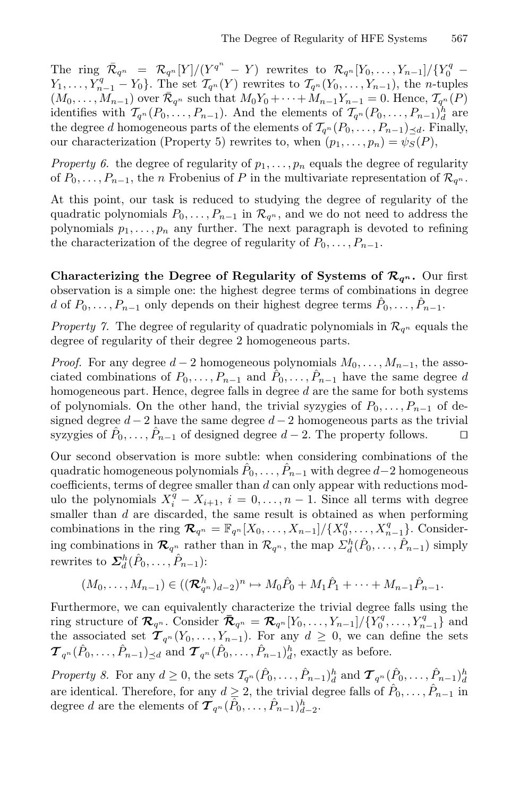The ring  $\bar{\mathcal{R}}_{q^n} = \mathcal{R}_{q^n}[Y]/(Y^{q^n}-Y)$  rewrites to  $\mathcal{R}_{q^n}[Y_0,\ldots,Y_{n-1}]/\{Y_0^q-\}$  $Y_1,\ldots,Y_{n-1}^q-Y_0$ . The set  $\mathcal{T}_{q^n}(Y)$  rewrites to  $\mathcal{T}_{q^n}(Y_0,\ldots,Y_{n-1})$ , the *n*-tuples  $(M_0,...,M_{n-1})$  over  $\mathcal{R}_{q^n}$  such that  $M_0Y_0 + \cdots + M_{n-1}Y_{n-1} = 0$ . Hence,  $\mathcal{T}_{q^n}(P)$ identifies with  $\mathcal{T}_{q^n}(P_0,\ldots,P_{n-1})$ . And the elements of  $\mathcal{T}_{q^n}(P_0,\ldots,P_{n-1})_d^h$  are the degree d homogeneous parts of the elements of  $\mathcal{T}_{q^n}(P_0,\ldots,P_{n-1})_{\preceq d}$ . Finally, our characterization (Property 5) rewrites to, when  $(p_1, \ldots, p_n) = \psi_S(P)$ ,

*Property 6.* the degree of regularity of  $p_1, \ldots, p_n$  equals the degree of regularity of  $P_0, \ldots, P_{n-1}$ , the *n* Frobenius of P in the multivariate representation of  $\mathcal{R}_{q^n}$ .

At this point, our task is reduced to studying the degree of regularity of the quadratic polynomials  $P_0, \ldots, P_{n-1}$  in  $\mathcal{R}_{q^n}$ , and we do not need to address the polynomials  $p_1, \ldots, p_n$  any further. The next paragraph is devoted to refining the characterization of the degree of regularity of  $P_0, \ldots, P_{n-1}$ .

Characterizing the Degree of Regularity of Systems of  $\mathcal{R}_{q^n}$ . Our first observation is a simple one: the highest degree terms of combinations in degree d of  $P_0, \ldots, P_{n-1}$  only depends on their highest degree terms  $P_0, \ldots, P_{n-1}$ .

*Property 7.* The degree of regularity of quadratic polynomials in  $\mathcal{R}_{q^n}$  equals the degree of regularity of their degree 2 homogeneous parts.

*Proof.* For any degree  $d-2$  homogeneous polynomials  $M_0, \ldots, M_{n-1}$ , the associated combinations of  $P_0, \ldots, P_{n-1}$  and  $\hat{P}_0, \ldots, \hat{P}_{n-1}$  have the same degree d homogeneous part. Hence, degree falls in degree  $d$  are the same for both systems of polynomials. On the other hand, the trivial syzygies of  $P_0, \ldots, P_{n-1}$  of designed degree  $d-2$  have the same degree  $d-2$  homogeneous parts as the trivial syzygies of  $\hat{P}_0, \ldots, \hat{P}_{n-1}$  of designed degree  $d-2$ . The property follows.  $\Box$ 

Our second observation is more subtle: when considering combinations of the quadratic homogeneous polynomials  $P_0, \ldots, P_{n-1}$  with degree  $d-2$  homogeneous coefficients, terms of degree smaller than  $d$  can only appear with reductions modulo the polynomials  $X_i^{\bar{q}} - X_{i+1}, i = 0, \ldots, n-1$ . Since all terms with degree smaller than d are discarded, the same result is obtained as when performing combinations in the ring  $\mathcal{R}_{q^n} = \mathbb{F}_{q^n}[X_0, \ldots, X_{n-1}]/\{X_0^q, \ldots, X_{n-1}^q\}$ . Considering combinations in  $\mathcal{R}_{q^n}$  rather than in  $\mathcal{R}_{q^n}$ , the map  $\sum_{d}^{h}(\hat{P}_0,\ldots,\hat{P}_{n-1})$  simply rewrites to  $\mathbf{\Sigma}_{d}^{h}(\hat{P}_{0},\ldots,\hat{P}_{n-1})$ :

$$
(M_0,\ldots,M_{n-1})\in ((\mathcal{R}_{q^n}^h)_{d-2})^n\mapsto M_0\hat{P}_0+M_1\hat{P}_1+\cdots+M_{n-1}\hat{P}_{n-1}.
$$

Furthermore, we can equivalently characterize the trivial degree falls using the ring structure of  $\mathcal{R}_{q^n}$ . Consider  $\bar{\mathcal{R}}_{q^n} = \mathcal{R}_{q^n}[Y_0, \ldots, Y_{n-1}]/\{Y_0^q, \ldots, Y_{n-1}^q\}$  and the associated set  $\mathcal{T}_{q^n}(Y_0,\ldots,Y_{n-1})$ . For any  $d \geq 0$ , we can define the sets  $\mathcal{T}_{q^n}(\hat{P}_0,\ldots,\hat{P}_{n-1})_{\leq d}$  and  $\mathcal{T}_{q^n}(\hat{P}_0,\ldots,\hat{P}_{n-1})_d^h$ , exactly as before.

*Property 8.* For any  $d \geq 0$ , the sets  $\mathcal{T}_{q^n}(\hat{P}_0, \ldots, \hat{P}_{n-1})_d^h$  and  $\mathcal{T}_{q^n}(\hat{P}_0, \ldots, \hat{P}_{n-1})_d^h$ are identical. Therefore, for any  $d \geq 2$ , the trivial degree falls of  $\hat{P}_0, \ldots, \hat{P}_{n-1}$  in degree d are the elements of  $\mathcal{T}_{q^n}(\hat{P}_0,\ldots,\hat{P}_{n-1})_{d-2}^h$ .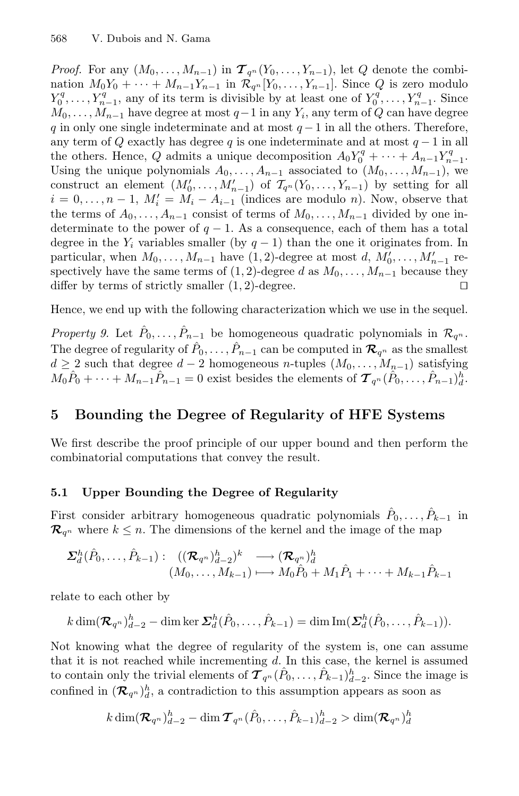*Proof.* For any  $(M_0, \ldots, M_{n-1})$  in  $\mathcal{T}_{q^n}(Y_0, \ldots, Y_{n-1})$ , let Q denote the combination  $M_0Y_0 + \cdots + M_{n-1}Y_{n-1}$  in  $\mathcal{R}_{q^n}[Y_0,\ldots,Y_{n-1}]$ . Since Q is zero modulo  $Y_0^q, \ldots, Y_{n-1}^q$ , any of its term is divisible by at least one of  $Y_0^q, \ldots, Y_{n-1}^q$ . Since  $M_0, \ldots, M_{n-1}$  have degree at most  $q-1$  in any  $Y_i$ , any term of Q can have degree q in only one single indeterminate and at most  $q-1$  in all the others. Therefore, any term of Q exactly has degree q is one indeterminate and at most  $q-1$  in all the others. Hence, Q admits a unique decomposition  $A_0Y_0^q + \cdots + A_{n-1}Y_{n-1}^q$ . Using the unique polynomials  $A_0, \ldots, A_{n-1}$  associated to  $(M_0, \ldots, M_{n-1})$ , we construct an element  $(M'_0, \ldots, M'_{n-1})$  of  $\mathcal{T}_{q^n}(Y_0, \ldots, Y_{n-1})$  by setting for all  $i = 0, \ldots, n-1, M'_i = M_i - A_{i-1}$  (indices are modulo *n*). Now, observe that the terms of  $A_0, \ldots, A_{n-1}$  consist of terms of  $M_0, \ldots, M_{n-1}$  divided by one indeterminate to the power of  $q - 1$ . As a consequence, each of them has a total degree in the  $Y_i$  variables smaller (by  $q-1$ ) than the one it originates from. In particular, when  $M_0, \ldots, M_{n-1}$  have  $(1, 2)$ -degree at most d,  $M'_0, \ldots, M'_{n-1}$  respectively have the same terms of  $(1, 2)$ -degree d as  $M_0, \ldots, M_{n-1}$  because they differ by terms of strictly smaller  $(1, 2)$ -degree.

Hence, we end up with the following characterization which we use in the sequel.

*Property 9.* Let  $\hat{P}_0, \ldots, \hat{P}_{n-1}$  be homogeneous quadratic polynomials in  $\mathcal{R}_{q^n}$ . The degree of regularity of  $\hat{P}_0, \ldots, \hat{P}_{n-1}$  can be computed in  $\mathcal{R}_{q^n}$  as the smallest  $d \geq 2$  such that degree  $d-2$  homogeneous n-tuples  $(M_0, \ldots, M_{n-1})$  satisfying  $M_0\hat{P}_0 + \cdots + M_{n-1}\hat{P}_{n-1} = 0$  exist besides the elements of  $\mathcal{T}_{q^n}(\hat{P}_0,\ldots,\hat{P}_{n-1})_d^h$ .

# 5 Bounding the Degree of Regularity of HFE Systems

We first describe the proof principle of our upper bound and then perform the combinatorial computations that convey the result.

# 5.1 Upper Bounding the Degree of Regularity

First consider arbitrary homogeneous quadratic polynomials  $P_0, \ldots, P_{k-1}$  in  $\mathcal{R}_{q^n}$  where  $k \leq n$ . The dimensions of the kernel and the image of the map

$$
\Sigma_d^h(\hat{P}_0,\ldots,\hat{P}_{k-1}): (\substack{(\mathcal{R}_{q^n})_{d-2}^h}^h)^k \longrightarrow (\mathcal{R}_{q^n})_d^h
$$

$$
(M_0,\ldots,M_{k-1}) \longmapsto M_0\hat{P}_0 + M_1\hat{P}_1 + \cdots + M_{k-1}\hat{P}_{k-1}
$$

relate to each other by

$$
k\dim(\mathcal{R}_{q^n})_{d=2}^h - \dim \ker \Sigma_d^h(\hat{P}_0,\ldots,\hat{P}_{k-1}) = \dim \mathrm{Im}(\Sigma_d^h(\hat{P}_0,\ldots,\hat{P}_{k-1})).
$$

Not knowing what the degree of regularity of the system is, one can assume that it is not reached while incrementing  $d$ . In this case, the kernel is assumed to contain only the trivial elements of  $\mathcal{T}_{q^n}(\hat{P}_0,\ldots,\hat{P}_{k-1})_{d-2}^h$ . Since the image is confined in  $(\mathcal{R}_{q^n})_d^h$ , a contradiction to this assumption appears as soon as

$$
k\dim(\mathcal{\mathcal{R}}_{q^n})_{d=2}^h-\dim \mathcal{\bm{T}}_{q^n}(\hat{P}_0,\ldots,\hat{P}_{k-1})_{d=2}^h>\dim(\mathcal{\bm{R}}_{q^n})_{d}^h
$$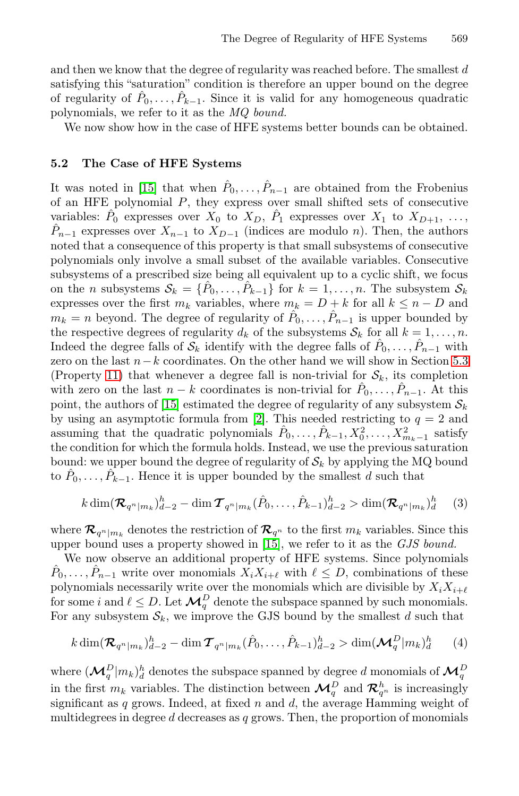[a](#page-19-5)nd then we know that the degree of regularity was reached before. The smallest  $d$ satisfying this "saturation" condition is therefore an upper bound on the degree of regularity of  $\hat{P}_0, \ldots, \hat{P}_{k-1}$ . Since it is valid for any homogeneous quadratic polynomials, we refer to it as the *MQ bound.*

We now show how in the case of HFE systems better bounds can be obtained.

# 5.2 The Case of HFE Systems

It was noted in [15] that when  $\hat{P}_0, \ldots, \hat{P}_{n-1}$  are obtained from the Frobenius of an HFE polynomial  $P$ , they express over small shifted sets of consecutive variables:  $\hat{P}_0$  expresses over  $X_0$  to  $X_D$ ,  $\hat{P}_1$  expresses over  $X_1$  to  $X_{D+1}$ , ...  $\hat{P}_{n-1}$  expresses over  $X_{n-1}$  to  $X_{D-1}$  (indices are modulo n). Then, the authors noted that a consequence of this property is that small su[bsyst](#page-13-0)ems of consecutive polynomials only involve a small subset of the available variables. Consecutive subsystems of a prescribed size being all equivalent up to a cyclic shift, we focus on [th](#page-19-5)e *n* subsystems  $S_k = \{\hat{P}_0, \ldots, \hat{P}_{k-1}\}\$  for  $k = 1, \ldots, n$ . The subsystem  $S_k$ expresses over the [firs](#page-18-2)t  $m_k$  variables, where  $m_k = D + k$  for all  $k \leq n - D$  and  $m_k = n$  beyond. The degree of regularity of  $\hat{P}_0, \ldots, \hat{P}_{n-1}$  is upper bounded by the respective degrees of regularity  $d_k$  of the subsystems  $S_k$  for all  $k = 1, \ldots, n$ . Indeed the degree falls of  $\mathcal{S}_k$  identify with the degree falls of  $\hat{P}_0, \ldots, \hat{P}_{n-1}$  with zero on the last  $n-k$  coordinates. On the other hand we will show in Section 5.3 (Property 11) that whenever a degree fall is non-trivial for  $S_k$ , its completion with zero on the last  $n - k$  coordinates is non-trivial for  $P_0, \ldots, P_{n-1}$ . At this point, the authors of [15] estimated the degree of regularity of any subsystem  $S_k$ by using an asymptotic formula from [2]. This needed restricting to  $q = 2$  and assuming that the q[uad](#page-19-5)ratic polynomials  $\hat{P}_0, \ldots, \hat{P}_{k-1}, X_0^2, \ldots, X_{m_k-1}^2$  satisfy the condition for which the formula holds. Instead, we use the previous saturation bound: we upper bound the degree of regularity of  $\mathcal{S}_k$  by applying the MQ bound to  $\hat{P}_0, \ldots, \hat{P}_{k-1}$ . Hence it is upper bounded by the smallest d such that

$$
k \dim(\mathcal{R}_{q^n|m_k})_{d=2}^h - \dim \mathcal{T}_{q^n|m_k}(\hat{P}_0, \dots, \hat{P}_{k-1})_{d=2}^h > \dim(\mathcal{R}_{q^n|m_k})_d^h \quad (3)
$$

where  $\mathcal{R}_{q^n|m_k}$  denotes the restriction of  $\mathcal{R}_{q^n}$  to the first  $m_k$  variables. Since this upper bound uses a property showed in [15], we refer to it as the *GJS bound.*

We now observe an additional property of HFE systems. Since polynomials  $\hat{P}_0, \ldots, \hat{P}_{n-1}$  write over monomials  $X_i X_{i+\ell}$  with  $\ell \leq D$ , combinations of these polynomials necessarily write over the monomials which are divisible by  $X_i X_{i+\ell}$  for some *i* and  $\ell \leq D$ . Let  $\mathcal{M}_q^D$  denote the subspace spanned by such monomials. For any subsystem  $S_k$ , we improve the GJS bound by the smallest d such that

$$
k\dim(\mathcal{R}_{q^n|m_k})_{d=2}^h - \dim \mathcal{T}_{q^n|m_k}(\hat{P}_0,\ldots,\hat{P}_{k-1})_{d=2}^h > \dim(\mathcal{M}_q^D|m_k)_{d}^h \qquad (4)
$$

where  $(\mathcal{M}_q^D|m_k)_d^h$  denotes the subspace spanned by degree  $d$  monomials of  $\mathcal{M}_q^D$ in the first  $m_k$  variables. The distinction between  $\mathcal{M}_q^D$  and  $\mathcal{R}_{q^n}^h$  is increasingly significant as q grows. Indeed, at fixed n and d, the average Hamming weight of multidegrees in degree  $d$  decreases as  $q$  grows. Then, the proportion of monomials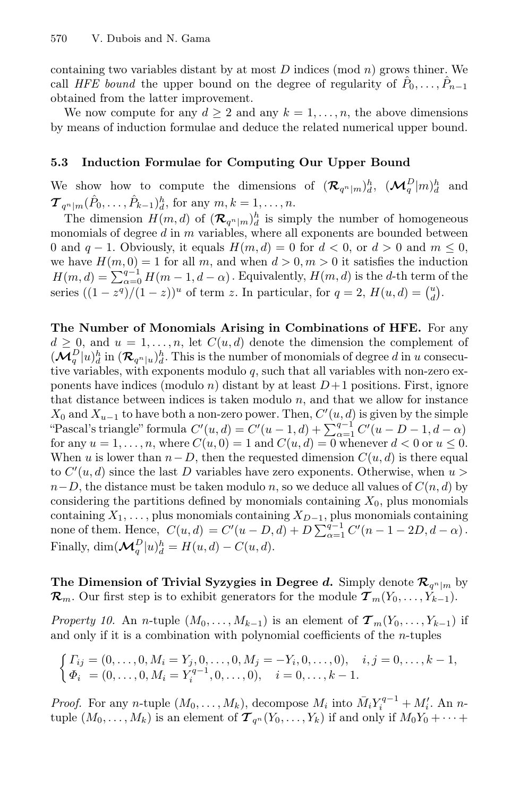containing two variables distant by at most  $D$  indices (mod  $n$ ) grows thiner. We call *HFE bound* the upper bound on the degree of regularity of  $P_0, \ldots, P_{n-1}$ obtained from the latter improvement.

We now compute for any  $d \geq 2$  and any  $k = 1, \ldots, n$ , the above dimensions by means of induction formulae and deduce the related numerical upper bound.

# 5.3 Induction Formulae for Computing Our Upper Bound

We show how to compute the dimensions of  $(\mathcal{R}_{q^n|m})_d^h$ ,  $(\mathcal{M}_q^D|m)_d^h$ <sup>d</sup> and  $\mathcal{T}_{q^n|m}(\hat{P}_0,\ldots,\hat{P}_{k-1})_d^h$ , for any  $m, k = 1,\ldots,n$ .

The dimension  $H(m, d)$  of  $(\mathcal{R}_{q^n|m})_d^h$  is simply the number of homogeneous monomials of degree  $d$  in  $m$  variables, where all exponents are bounded between 0 and  $q-1$ . Obviously, it equals  $H(m, d) = 0$  for  $d < 0$ , or  $d > 0$  and  $m \leq 0$ , we have  $H(m, 0) = 1$  for all m, and when  $d > 0, m > 0$  it satisfies the induction  $H(m, d) = \sum_{\alpha=0}^{q-1} H(m-1, d-\alpha)$ . Equivalently,  $H(m, d)$  is the d-th term of the series  $((1 - z^q)/(1 - z))^u$  of term z. In particular, for  $q = 2$ ,  $H(u, d) = {u \choose d}$ .

The Number of Monomials Arising in Combinations of HFE. For any  $d \geq 0$ , and  $u = 1, \ldots, n$ , let  $C(u, d)$  denote the dimension the complement of  $(\mathcal{M}_q^D|u)_d^h$  in  $(\mathcal{R}_{q^n|u})_d^h$ . This is the number of monomials of degree d in u consecutive variables, with exponents modulo  $q$ , such that all variables with non-zero exponents have indices (modulo n) distant by at least  $D+1$  positions. First, ignore that distance between indices is taken modulo  $n$ , and that we allow for instance  $X_0$  and  $X_{u-1}$  to have both a non-zero power. Then,  $C'(u, d)$  is given by the simple "Pascal's triangle" formula  $C'(u, d) = C'(u - 1, d) + \sum_{\alpha=1}^{q-1} C'(u - D - 1, d - \alpha)$ for any  $u = 1, \ldots, n$ , where  $C(u, 0) = 1$  and  $C(u, d) = 0$  whenever  $d < 0$  or  $u \leq 0$ . When u is lower than  $n-D$ , then the requested dimension  $C(u, d)$  is there equal to  $C'(u, d)$  since the last D variables have zero exponents. Otherwise, when  $u >$  $n-D$ , the distance must be taken modulo n, so we deduce all values of  $C(n,d)$  by considering the partitions defined by monomials containing  $X_0$ , plus monomials containing  $X_1, \ldots$ , plus monomials containing  $X_{D-1}$ , plus monomials containing none of them. Hence,  $C(u,d) = C'(u - D, d) + D \sum_{\alpha=1}^{q-1} C'(u - 1 - 2D, d - \alpha)$ . Finally,  $\dim(\mathcal{M}_q^D | u)_d^h = H(u,d) - C(u,d).$ 

<span id="page-13-0"></span>The Dimension of Trivial Syzygies in Degree *d*. Simply denote  $\mathcal{R}_{q^n|m}$  by  $\mathcal{R}_m$ . Our first step is to exhibit generators for the module  $\mathcal{T}_m(Y_0,\ldots,Y_{k-1})$ .

*Property 10.* An *n*-tuple  $(M_0, \ldots, M_{k-1})$  is an element of  $\mathcal{T}_m(Y_0, \ldots, Y_{k-1})$  if and only if it is a combination with polynomial coefficients of the  $n$ -tuples

$$
\begin{cases}\n\Gamma_{ij} = (0, \dots, 0, M_i = Y_j, 0, \dots, 0, M_j = -Y_i, 0, \dots, 0), & i, j = 0, \dots, k - 1, \\
\Phi_i = (0, \dots, 0, M_i = Y_i^{q-1}, 0, \dots, 0), & i = 0, \dots, k - 1.\n\end{cases}
$$

*Proof.* For any *n*-tuple  $(M_0, \ldots, M_k)$ , decompose  $M_i$  into  $\overline{M}_i Y_i^{q-1} + M'_i$ . An *n*tuple  $(M_0,\ldots,M_k)$  is an element of  ${\mathcal T}_{q^n}(Y_0,\ldots,Y_k)$  if and only if  $M_0Y_0+\cdots+$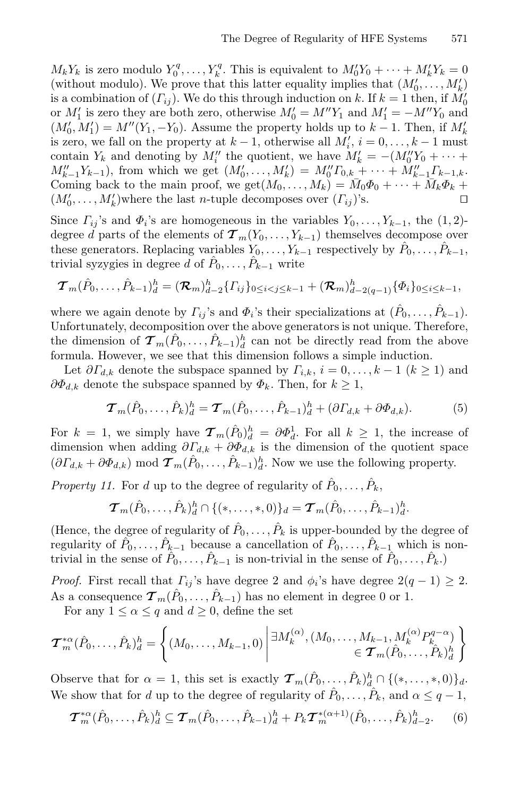$M_k Y_k$  is zero modulo  $Y_0^q, \ldots, Y_k^q$ . This is equivalent to  $M_0' Y_0 + \cdots + M_k' Y_k = 0$ (without modulo). We prove that this latter equality implies that  $(M'_0, \ldots, M'_k)$ is a combination of  $(\Gamma_{ij})$ . We do this through induction on k. If  $k = 1$  then, if  $M'_0$ or  $M'_1$  is zero they are both zero, otherwise  $M'_0 = M'' Y_1$  and  $M'_1 = -M'' Y_0$  and  $(M'_0, M'_1) = M''(Y_1, -Y_0)$ . Assume the property holds up to  $k-1$ . Then, if  $M'_k$ is zero, we fall on the property at  $k-1$ , otherwise all  $M'_i$ ,  $i = 0, \ldots, k-1$  must contain  $Y_k$  and denoting by  $M''_i$  the quotient, we have  $M'_k = -(M''_0 Y_0 + \cdots +$  $M''_{k-1}Y_{k-1}$ ), from which we get  $(M'_0, \ldots, M'_k) = M''_0 I_{0,k} + \cdots + M''_{k-1} I_{k-1,k}$ . Coming back to the main proof, we get $(M_0,\ldots,M_k) = M_0\Phi_0 + \cdots + M_k\Phi_k$  $(M'_0, \ldots, M'_k)$  where the last *n*-tuple decomposes over  $(\Gamma_{ij})$ 's.

Since  $\Gamma_{ij}$ 's and  $\Phi_i$ 's are homogeneous in the variables  $Y_0, \ldots, Y_{k-1}$ , the  $(1, 2)$ degree d parts of the elements of  $\mathcal{T}_{m}(Y_0,\ldots,Y_{k-1})$  themselves decompose over these generators. Replacing variables  $Y_0, \ldots, Y_{k-1}$  respectively by  $P_0, \ldots, P_{k-1}$ , trivial syzygies in degree d of  $P_0, \ldots, P_{k-1}$  write

$$
\boldsymbol{T}_{m}(\hat{P}_{0},\ldots,\hat{P}_{k-1})_{d}^{h} = (\boldsymbol{\mathcal{R}}_{m})_{d-2}^{h} \{ \Gamma_{ij} \}_{0 \leq i < j \leq k-1} + (\boldsymbol{\mathcal{R}}_{m})_{d-2(q-1)}^{h} \{ \Phi_{i} \}_{0 \leq i \leq k-1},
$$

where we again denote by  $\Gamma_{ij}$ 's and  $\Phi_i$ 's their specializations at  $(\hat{P}_0,\ldots,\hat{P}_{k-1})$ . Unfortunately, decomposition over the above generators is not unique. Therefore, the dimension of  $\mathcal{T}_{m}(\hat{P}_{0},\ldots,\hat{P}_{k-1})_{d}^{h}$  can not be directly read from the above formula. However, we see that this dimension follows a simple induction.

Let  $\partial \Gamma_{d,k}$  denote the subspace spanned by  $\Gamma_{i,k}, i = 0, \ldots, k-1$   $(k \ge 1)$  and  $\partial \Phi_{d,k}$  denote the subspace spanned by  $\Phi_k$ . Then, for  $k \geq 1$ ,

<span id="page-14-1"></span>
$$
\boldsymbol{\mathcal{T}}_m(\hat{P}_0,\ldots,\hat{P}_k)_d^h = \boldsymbol{\mathcal{T}}_m(\hat{P}_0,\ldots,\hat{P}_{k-1})_d^h + (\partial \varGamma_{d,k} + \partial \Phi_{d,k}). \tag{5}
$$

For  $k = 1$ , we simply have  $\mathcal{T}_m(\hat{P}_0)_d^h = \partial \Phi_d^1$ . For all  $k \geq 1$ , the increase of dimension when adding  $\partial \Gamma_{d,k} + \partial \Phi_{d,k}$  is the dimension of the quotient space  $(\partial \Gamma_{d,k} + \partial \Phi_{d,k}) \mod \mathcal{T}_m(\hat{P}_0,\ldots,\hat{P}_{k-1})_d^h$ . Now we use the following property.

*Property 11.* For d up to the degree of regularity of  $\hat{P}_0, \ldots, \hat{P}_k$ ,

$$
\boldsymbol{\mathcal{T}}_m(\hat{P}_0,\ldots,\hat{P}_k)^h_d \cap \{(*,\ldots,*,0)\}_d = \boldsymbol{\mathcal{T}}_m(\hat{P}_0,\ldots,\hat{P}_{k-1})^h_d.
$$

(Hence, the degree of regularity of  $\hat{P}_0, \ldots, \hat{P}_k$  is upper-bounded by the degree of regularity of  $P_0, \ldots, P_{k-1}$  because a cancellation of  $\hat{P}_0, \ldots, \hat{P}_{k-1}$  which is nontrivial in the sense of  $\hat{P}_0, \ldots, \hat{P}_{k-1}$  is non-trivial in the sense of  $\hat{P}_0, \ldots, \hat{P}_k$ .

*Proof.* First recall that  $\Gamma_{ij}$ 's have degree 2 and  $\phi_i$ 's have degree  $2(q-1) \geq 2$ . As a consequence  $\tau_m(\tilde{P}_0,\ldots,\tilde{P}_{k-1})$  has no element in degree 0 or 1.

For any  $1 \leq \alpha \leq q$  and  $d \geq 0$ , define the set

$$
\boldsymbol{\mathcal{T}}_{m}^{*\alpha}(\hat{P}_{0},\ldots,\hat{P}_{k})_{d}^{h} = \left\{ (M_{0},\ldots,M_{k-1},0) \middle| \begin{aligned} &\exists M_{k}^{(\alpha)},(M_{0},\ldots,M_{k-1},M_{k}^{(\alpha)}P_{k}^{q-\alpha}) \\ &\in \boldsymbol{\mathcal{T}}_{m}(\hat{P}_{0},\ldots,\hat{P}_{k})_{d}^{h} \end{aligned} \right\}
$$

Observe that for  $\alpha = 1$ , this set is exactly  $\mathcal{T}_m(\hat{P}_0, \ldots, \hat{P}_k)_{d}^h \cap \{(*,\ldots,*,0)\}_d$ . We show that for d up to the degree of regularity of  $P_0, \ldots, P_k$ , and  $\alpha \leq q-1$ ,

<span id="page-14-0"></span>
$$
\boldsymbol{\mathcal{T}}_{m}^{*\alpha}(\hat{P}_{0},\ldots,\hat{P}_{k})_{d}^{h} \subseteq \boldsymbol{\mathcal{T}}_{m}(\hat{P}_{0},\ldots,\hat{P}_{k-1})_{d}^{h} + P_{k}\boldsymbol{\mathcal{T}}_{m}^{*(\alpha+1)}(\hat{P}_{0},\ldots,\hat{P}_{k})_{d-2}^{h}.
$$
 (6)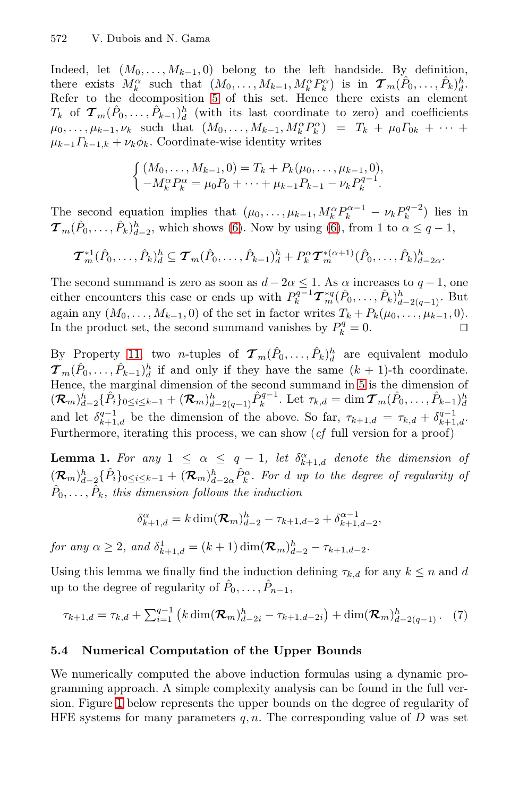Indeed, let  $(M_0, \ldots, M_{k-1}, 0)$  belong to the left handside. By definition, there exists  $M_k^{\alpha}$  such that  $(M_0, \ldots, M_{k-1}, M_k^{\alpha} P_k^{\alpha})$  is in  $\mathcal{T}_m(\hat{P}_0, \ldots, \hat{P}_k)_d^h$ . Refer to the decomposition 5 of this set. Hence there exists an element  $T_k$  of  $\mathcal{T}_m(\hat{P}_0,\ldots,\hat{P}_{k-1})_d^h$  (with [its](#page-14-0) last coordinate to zero) and coefficients  $\mu_0, \ldots, \mu_{k-1}, \nu_k$  such that  $(M_0, \ldots, M_{k-1}, M_k^{\alpha} P_k^{\alpha}) = T_k + \mu_0 T_{0k} + \cdots$  $\mu_{k-1}\Gamma_{k-1,k} + \nu_k \phi_k$ . Coordinate-wise identity writes

$$
\begin{cases}\n(M_0, \ldots, M_{k-1}, 0) = T_k + P_k(\mu_0, \ldots, \mu_{k-1}, 0), \\
-M_k^{\alpha} P_k^{\alpha} = \mu_0 P_0 + \cdots + \mu_{k-1} P_{k-1} - \nu_k P_k^{q-1}.\n\end{cases}
$$

The second equation implies that  $(\mu_0, \ldots, \mu_{k-1}, M_k^{\alpha} P_k^{\alpha-1} - \nu_k P_k^{q-2})$  lies in  $\boldsymbol{\mathcal{T}}_m(\hat{P}_0,\ldots,\hat{P}_k)_{d-2}^h$ , which shows (6). Now by using (6), from 1 to  $\alpha \leq q-1$ ,

$$
\boldsymbol{\mathcal{T}}_{m}^{*1}(\hat{P}_{0},\ldots,\hat{P}_{k})_{d}^{h} \subseteq \boldsymbol{\mathcal{T}}_{m}(\hat{P}_{0},\ldots,\hat{P}_{k-1})_{d}^{h} + P_{k}^{\alpha} \boldsymbol{\mathcal{T}}_{m}^{*(\alpha+1)}(\hat{P}_{0},\ldots,\hat{P}_{k})_{d-2\alpha}^{h}.
$$

The secon[d](#page-14-1) summand is zero as soon as  $d - 2\alpha \leq 1$ . As  $\alpha$  increases to  $q - 1$ , one either encounters this case or ends up with  $P_k^{q-1} \mathcal{T}_m^{*q}(\hat{P}_0,\ldots,\hat{P}_k)_{d-2(q-1)}^h$ . But again any  $(M_0, \ldots, M_{k-1}, 0)$  of the set in factor writes  $T_k + P_k(\mu_0, \ldots, \mu_{k-1}, 0)$ .<br>In the product set, the second summand vanishes by  $P_i^g = 0$ . In the product set, the second summand vanishes by  $P_k^q = 0$ .

By Property 11, two *n*-tuples of  $\tau_m(\hat{P}_0,\ldots,\hat{P}_k)_d^h$  are equivalent modulo  $\boldsymbol{\mathcal{T}}_m(\hat{P}_0,\ldots,\hat{P}_{k-1})_d^h$  if and only if they have the same  $(k+1)$ -th coordinate. Hence, the marginal dimension of the second summand in 5 is the dimension of  $(\mathcal{R}_m)_{d=2}^h \{\hat{P}_i\}_{0 \leq i \leq k-1} + (\mathcal{R}_m)_{d=2(q-1)}^h \hat{P}_k^{q-1}$ . Let  $\tau_{k,d} = \dim \mathcal{T}_m(\hat{P}_0,\ldots,\hat{P}_{k-1})_{d=2(q-1)}^h$ and let  $\delta^{q-1}_{k+1,d}$  be the dimension of the above. So far,  $\tau_{k+1,d} = \tau_{k,d} + \delta^{q-1}_{k+1,d}$ . Furthermore, iterating this process, we can show (*cf* full version for a proof)

**Lemma 1.** For any  $1 \leq \alpha \leq q-1$ , let  $\delta_{k+1,d}^{\alpha}$  denote the dimension of  $({\cal R}_m)_{d-2}^h\{\hat{P}_i\}_{0\leq i\leq k-1}+({\cal R}_m)_{d-2\alpha}^h\hat{P}_k^{\alpha}$ . For d up to the degree of regularity of  $\hat{P}_0, \ldots, \hat{P}_k$ , this dimension follows the induction

$$
\delta_{k+1,d}^{\alpha} = k \dim(\mathcal{R}_m)_{d-2}^h - \tau_{k+1,d-2} + \delta_{k+1,d-2}^{\alpha-1},
$$

*for any*  $\alpha \ge 2$ , and  $\delta_{k+1,d}^1 = (k+1) \dim(\mathcal{R}_m)_{d-2}^h - \tau_{k+1,d-2}$ .

Using this lemma we finally find the induction defining  $\tau_{k,d}$  for any  $k \leq n$  and d up to the degree of regularity of  $P_0, \ldots, P_{n-1}$ ,

$$
\tau_{k+1,d} = \tau_{k,d} + \sum_{i=1}^{q-1} \left( k \dim(\mathcal{R}_m)_{d-2i}^h - \tau_{k+1,d-2i} \right) + \dim(\mathcal{R}_m)_{d-2(q-1)}^h. \tag{7}
$$

## 5.4 Numerical Computation of the Upper Bounds

We numerically computed the above induction formulas using a dynamic programming approach. A simple complexity analysis can be found in the full version. Figure 1 below represents the upper bounds on the degree of regularity of HFE systems for many parameters  $q, n$ . The corresponding value of D was set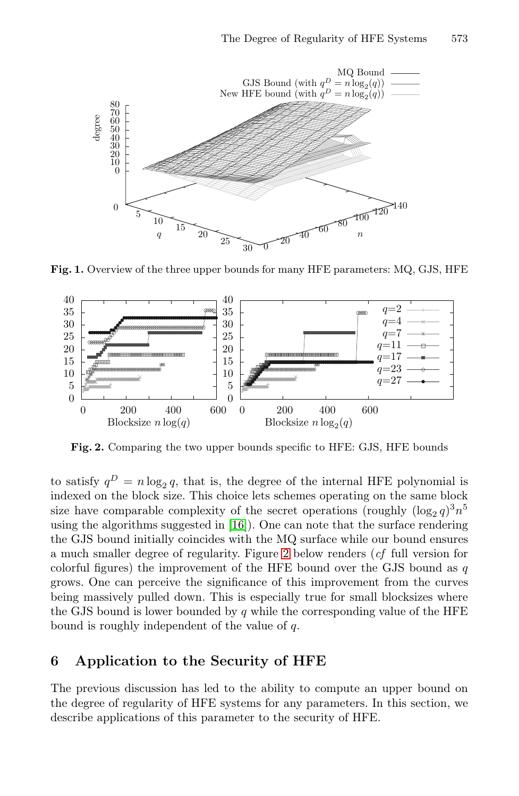

Fig. 1. Overview of the three upper bounds for many HFE parameters: MQ, GJS, HFE

<span id="page-16-0"></span>

Fig. 2. Comparing the [tw](#page-16-0)o upper bounds specific to HFE: GJS, HFE bounds

to satisfy  $q^D = n \log_2 q$ , that is, the degree of the internal HFE polynomial is indexed on the block size. This choice lets schemes operating on the same block size have comparable complexity of the secret operations (roughly  $(\log_2 q)^3 n^5$ using the algorithms suggested in [16]). One can note that the surface rendering the GJS bound initially coincides with the MQ surface while our bound ensures a much smaller degree of regularity. Figure 2 below renders (*cf* full version for colorful figures) the improvement of the HFE bound over the GJS bound as  $q$ grows. One can perceive the significance of this improvement from the curves being massively pulled down. This is especially true for small blocksizes where the GJS bound is lower bounded by  $q$  while the corresponding value of the HFE bound is roughly independent of the value of q.

# 6 Application to the Security of HFE

The previous discussion has led to the ability to compute an upper bound on the degree of regularity of HFE systems for any parameters. In this section, we describe applications of this parameter to the security of HFE.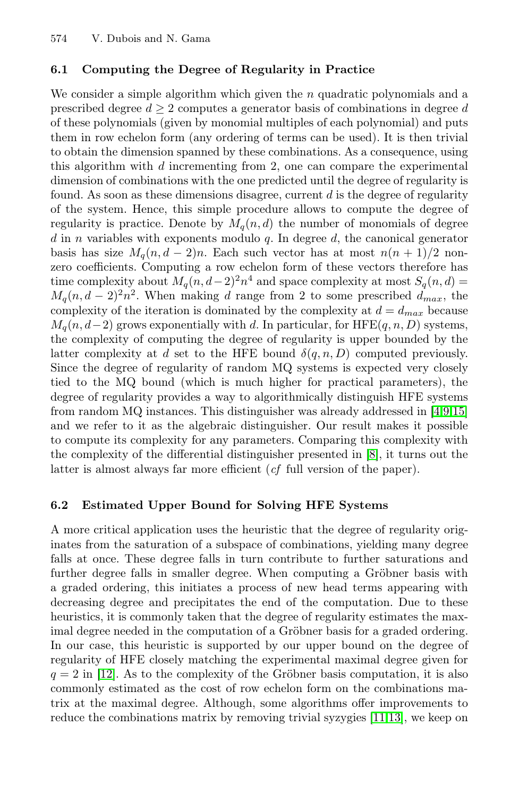## 6.1 Computing the Degree of Regularity in Practice

We consider a simple algorithm which given the  $n$  quadratic polynomials and a prescribed degree  $d \geq 2$  computes a generator basis of combinations in degree d of these polynomials (given by monomial multiples of each polynomial) and puts them in row echelon form (any ordering of terms can be used). It is then trivial to obtain the dimension spanned by these combinations. As a consequence, using this algorithm with  $d$  incrementing from 2, one can compare the experimental dimension of combinations with the one predicted until the degree of regularity is found. As soon as these dimensions disagree, current  $d$  is the degree of regularity of the system. Hence, this simple procedure allows to compute the degree of regularity is practice. Denote by  $M_q(n,d)$  the number of monomials of degree  $d$  in n variables with exponents modulo  $q$ . In degree  $d$ , the canonical generator basis has size  $M_q(n, d-2)n$ . Each such vector has at most  $n(n + 1)/2$  nonzero coefficients. Computing a row echelon form of these vectors therefore has time complexity about  $M_q(n, d-2)^2 n^4$  and space complexity at most  $S_q(n, d)$  =  $M_q(n, d-2)^2 n^2$ . When making d range fr[o](#page-19-3)m 2 to so[me](#page-19-4) [pr](#page-19-5)escribed  $d_{max}$ , the complexity of the iteration is dominated by the complexity at  $d = d_{max}$  because  $M_q(n, d-2)$  grows exponentially with d. In particular, for HFE $(q, n, D)$  systems, the complexity of computing the degree [of](#page-19-2) regularity is upper bounded by the latter complexity at d set to the HFE bound  $\delta(q,n,D)$  computed previously. Since the degree of regularity of random MQ systems is expected very closely tied to the MQ bound (which is much higher for practical parameters), the degree of regularity provides a way to algorithmically distinguish HFE systems from random MQ instances. This distinguisher was already addressed in [4,9,15] and we refer to it as the algebraic distinguisher. Our result makes it possible to compute its complexity for any parameters. Comparing this complexity with the complexity of the differential distinguisher presented in [8], it turns out the latter is almost always far more efficient (*cf* full version of the paper).

## 6.2 Estimated Upper Bound for Solving HFE Systems

A more critical application uses the heuristic that the degree of regularity originates from the saturation of a subspace of combinations, yielding many degree falls at once. These degree falls in turn contribute to further saturations and further degree falls in smaller degree. When computing a Gröbner basis with a graded ordering, this initiates a process of new head terms appearing with decreasing degree and precipitates the e[nd](#page-19-14) [of t](#page-19-15)he computation. Due to these heuristics, it is commonly taken that the degree of regularity estimates the maximal degree needed in the computation of a Gröbner basis for a graded ordering. In our case, this heuristic is supported by our upper bound on the degree of regularity of HFE closely matching the experimental maximal degree given for  $q = 2$  in [12]. As to the complexity of the Gröbner basis computation, it is also commonly estimated as the cost of row echelon form on the combinations matrix at the maximal degree. Although, some algorithms offer improvements to reduce the combinations matrix by removing trivial syzygies [11,13], we keep on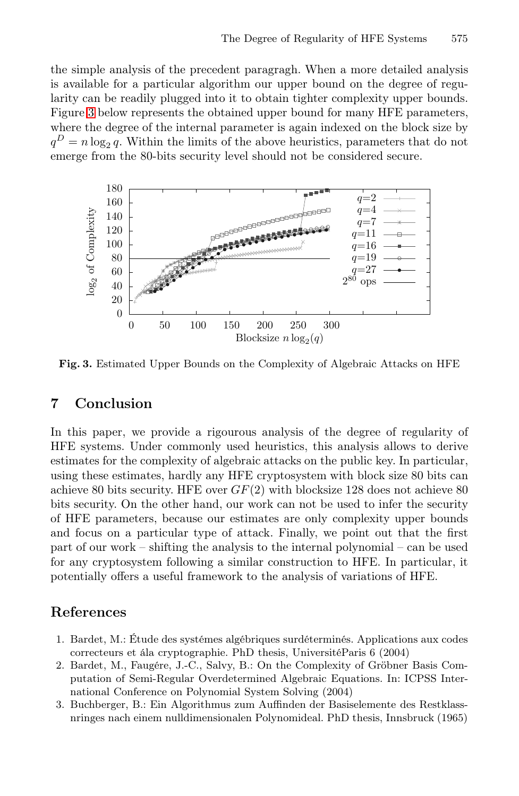the simple analysis of the precedent paragragh. When a more detailed analysis is available for a particular algorithm our upper bound on the degree of regularity can be readily plugged into it to obtain tighter complexity upper bounds. Figure 3 below represents the obtained upper bound for many HFE parameters, where the degree of the internal parameter is again indexed on the block size by  $q^D = n \log_2 q$ . Within the limits of the above heuristics, parameters that do not emerge from the 80-bits security level should not be considered secure.



Fig. 3. Estimated Upper Bounds on the Complexity of Algebraic Attacks on HFE

# 7 Conclusion

<span id="page-18-0"></span>In this paper, we provide a rigourous analysis of the degree of regularity of HFE systems. Under commonly used heuristics, this analysis allows to derive estimates for the complexity of algebraic attacks on the public key. In particular, using these estimates, hardly any HFE cryptosystem with block size 80 bits can achieve 80 bits security. HFE over  $GF(2)$  with blocksize 128 does not achieve 80 bits security. On the other hand, our work can not be used to infer the security of HFE parameters, because our estimates are only complexity upper bounds and focus on a particular type of attack. Finally, we point out that the first part of our work – shifting the analysis to the internal polynomial – can be used for any cryptosystem following a similar construction to HFE. In particular, it potentially offers a useful framework to the analysis of variations of HFE.

# <span id="page-18-2"></span><span id="page-18-1"></span>References

- 1. Bardet, M.: Étude des systémes algébriques surdéterminés. Applications aux codes correcteurs et ála cryptographie. PhD thesis, UniversitéParis 6 (2004)
- 2. Bardet, M., Faugére, J.-C., Salvy, B.: On the Complexity of Gröbner Basis Computation of Semi-Regular Overdetermined Algebraic Equations. In: ICPSS International Conference on Polynomial System Solving (2004)
- 3. Buchberger, B.: Ein Algorithmus zum Auffinden der Basiselemente des Restklassnringes nach einem nulldimensionalen Polynomideal. PhD thesis, Innsbruck (1965)